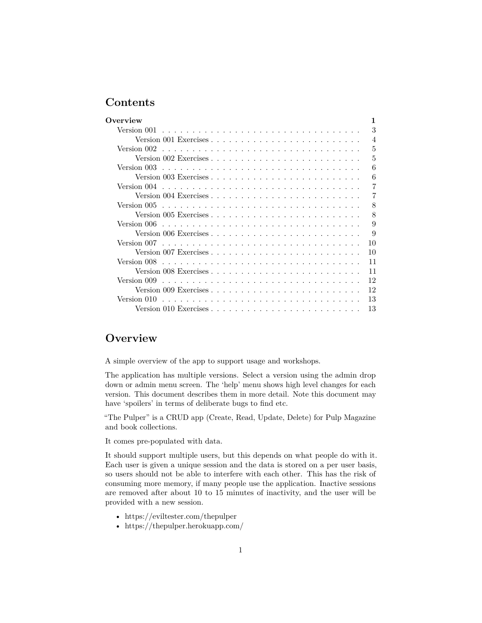# **Contents**

| Overview                                                                                           |
|----------------------------------------------------------------------------------------------------|
| 3<br>Version 001                                                                                   |
| 4                                                                                                  |
| 5<br>Version 002                                                                                   |
| 5<br>Version 002 Exercises $\ldots \ldots \ldots \ldots \ldots \ldots \ldots \ldots \ldots$        |
| 6<br>Version 003                                                                                   |
| 6                                                                                                  |
| 7                                                                                                  |
| 7                                                                                                  |
| 8                                                                                                  |
| 8<br>Version 005 Exercises $\ldots \ldots \ldots \ldots \ldots \ldots \ldots \ldots \ldots \ldots$ |
| 9<br>Version 006                                                                                   |
| 9                                                                                                  |
| 10                                                                                                 |
| 10<br>Version 007 Exercises $\ldots \ldots \ldots \ldots \ldots \ldots \ldots \ldots \ldots$       |
| 11<br>Version 008                                                                                  |
| 11                                                                                                 |
| 12                                                                                                 |
| 12                                                                                                 |
| 13                                                                                                 |
| 13                                                                                                 |

# <span id="page-0-0"></span>**Overview**

A simple overview of the app to support usage and workshops.

The application has multiple versions. Select a version using the admin drop down or admin menu screen. The 'help' menu shows high level changes for each version. This document describes them in more detail. Note this document may have 'spoilers' in terms of deliberate bugs to find etc.

"The Pulper" is a CRUD app (Create, Read, Update, Delete) for Pulp Magazine and book collections.

It comes pre-populated with data.

It should support multiple users, but this depends on what people do with it. Each user is given a unique session and the data is stored on a per user basis, so users should not be able to interfere with each other. This has the risk of consuming more memory, if many people use the application. Inactive sessions are removed after about 10 to 15 minutes of inactivity, and the user will be provided with a new session.

- https://eviltester.com/thepulper
- https://thepulper.herokuapp.com/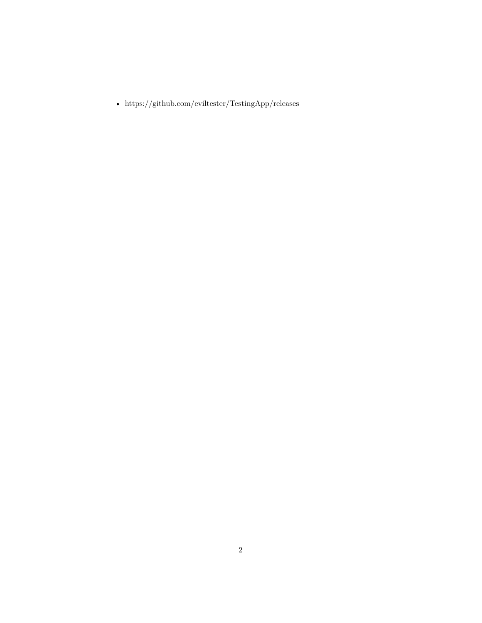- https://github.com/eviltester/TestingApp/releases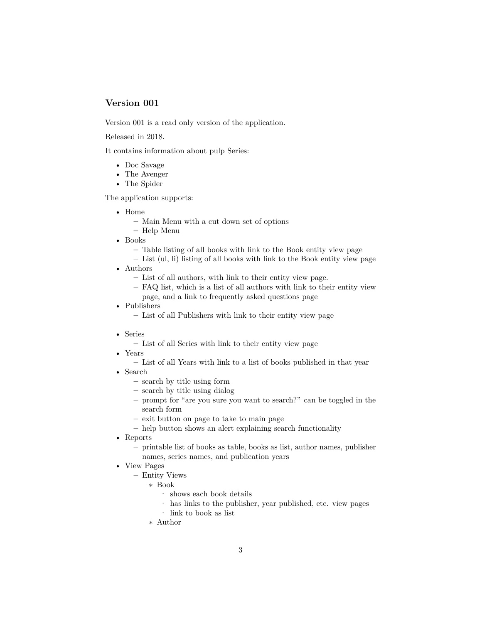<span id="page-2-0"></span>Version 001 is a read only version of the application.

Released in 2018.

It contains information about pulp Series:

- Doc Savage
- The Avenger
- The Spider

The application supports:

- Home
	- **–** Main Menu with a cut down set of options
	- **–** Help Menu
- Books
	- **–** Table listing of all books with link to the Book entity view page
	- **–** List (ul, li) listing of all books with link to the Book entity view page
- Authors
	- **–** List of all authors, with link to their entity view page.
	- **–** FAQ list, which is a list of all authors with link to their entity view page, and a link to frequently asked questions page
- Publishers
	- **–** List of all Publishers with link to their entity view page
- Series
	- **–** List of all Series with link to their entity view page
- Years
	- **–** List of all Years with link to a list of books published in that year
- Search
	- **–** search by title using form
	- **–** search by title using dialog
	- **–** prompt for "are you sure you want to search?" can be toggled in the search form
	- **–** exit button on page to take to main page
	- **–** help button shows an alert explaining search functionality
- Reports
	- **–** printable list of books as table, books as list, author names, publisher names, series names, and publication years
- View Pages
	- **–** Entity Views
		- ∗ Book
			- · shows each book details
			- · has links to the publisher, year published, etc. view pages
			- · link to book as list
		- ∗ Author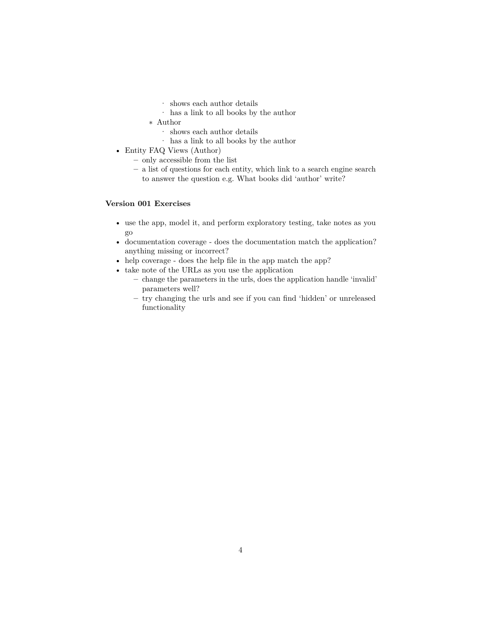- · shows each author details
- · has a link to all books by the author
- ∗ Author
	- $\cdot$  shows each author details
	- · has a link to all books by the author
- Entity FAQ Views (Author)
	- **–** only accessible from the list
	- **–** a list of questions for each entity, which link to a search engine search to answer the question e.g. What books did 'author' write?

# <span id="page-3-0"></span>**Version 001 Exercises**

- use the app, model it, and perform exploratory testing, take notes as you go
- documentation coverage does the documentation match the application? anything missing or incorrect?
- help coverage does the help file in the app match the app?
- take note of the URLs as you use the application
	- **–** change the parameters in the urls, does the application handle 'invalid' parameters well?
	- **–** try changing the urls and see if you can find 'hidden' or unreleased functionality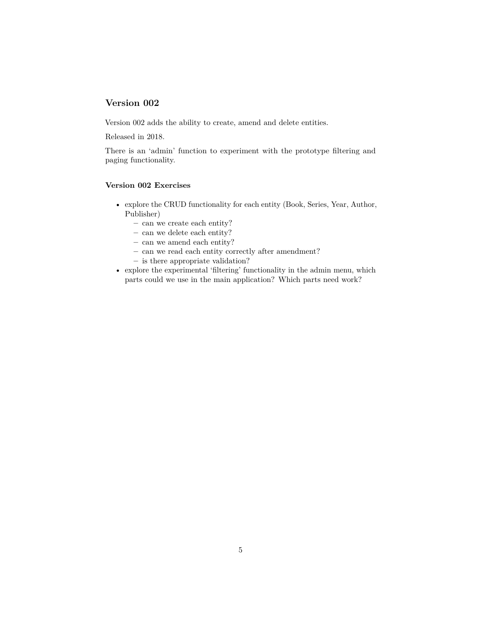<span id="page-4-0"></span>Version 002 adds the ability to create, amend and delete entities.

Released in 2018.

There is an 'admin' function to experiment with the prototype filtering and paging functionality.

#### <span id="page-4-1"></span>**Version 002 Exercises**

- explore the CRUD functionality for each entity (Book, Series, Year, Author, Publisher)
	- **–** can we create each entity?
	- **–** can we delete each entity?
	- **–** can we amend each entity?
	- **–** can we read each entity correctly after amendment?
	- **–** is there appropriate validation?
- explore the experimental 'filtering' functionality in the admin menu, which parts could we use in the main application? Which parts need work?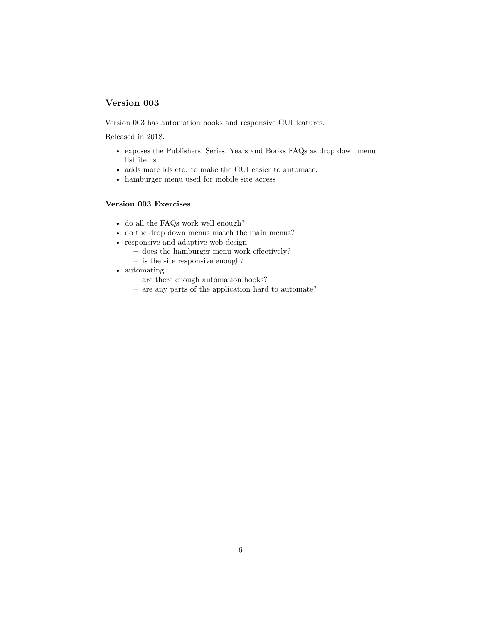<span id="page-5-0"></span>Version 003 has automation hooks and responsive GUI features.

Released in 2018.

- exposes the Publishers, Series, Years and Books FAQs as drop down menu list items.
- adds more ids etc. to make the GUI easier to automate:
- hamburger menu used for mobile site access

### <span id="page-5-1"></span>**Version 003 Exercises**

- do all the FAQs work well enough?
- do the drop down menus match the main menus?
- responsive and adaptive web design
	- **–** does the hamburger menu work effectively?
	- **–** is the site responsive enough?
- automating
	- **–** are there enough automation hooks?
	- **–** are any parts of the application hard to automate?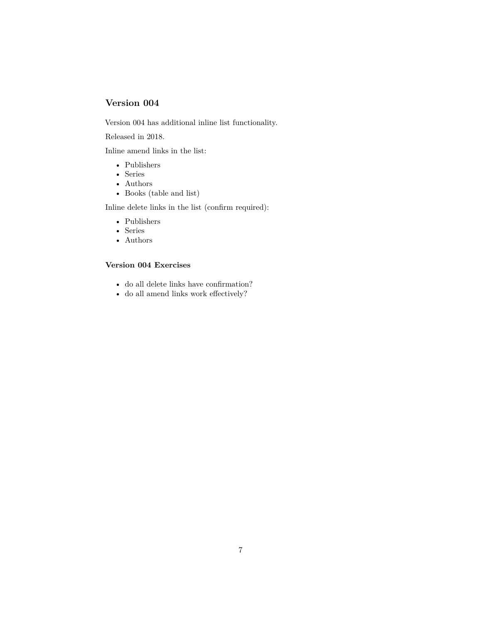<span id="page-6-0"></span>Version 004 has additional inline list functionality.

Released in 2018.

Inline amend links in the list:

- Publishers
- Series
- Authors
- Books (table and list)

Inline delete links in the list (confirm required):

- Publishers
- Series
- Authors

### <span id="page-6-1"></span>**Version 004 Exercises**

- do all delete links have confirmation?
- do all amend links work effectively?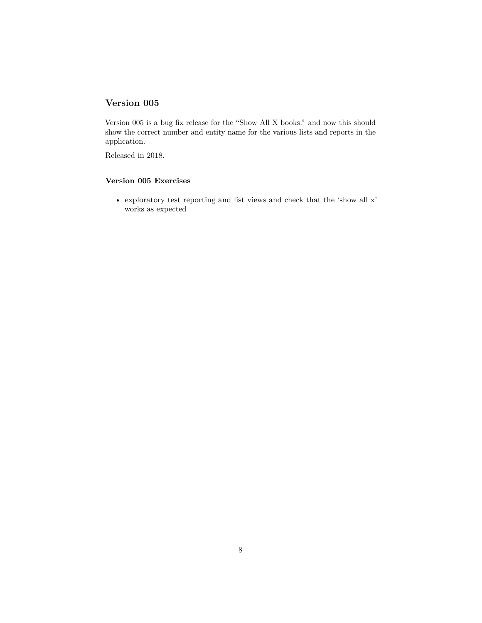<span id="page-7-0"></span>Version 005 is a bug fix release for the "Show All X books." and now this should show the correct number and entity name for the various lists and reports in the application.

Released in 2018.

#### <span id="page-7-1"></span>**Version 005 Exercises**

• exploratory test reporting and list views and check that the 'show all x' works as expected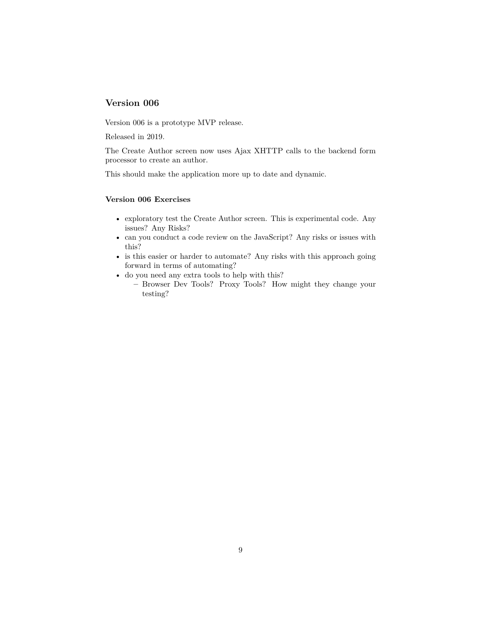<span id="page-8-0"></span>Version 006 is a prototype MVP release.

Released in 2019.

The Create Author screen now uses Ajax XHTTP calls to the backend form processor to create an author.

This should make the application more up to date and dynamic.

#### <span id="page-8-1"></span>**Version 006 Exercises**

- exploratory test the Create Author screen. This is experimental code. Any issues? Any Risks?
- can you conduct a code review on the JavaScript? Any risks or issues with this?
- is this easier or harder to automate? Any risks with this approach going forward in terms of automating?
- do you need any extra tools to help with this?
	- **–** Browser Dev Tools? Proxy Tools? How might they change your testing?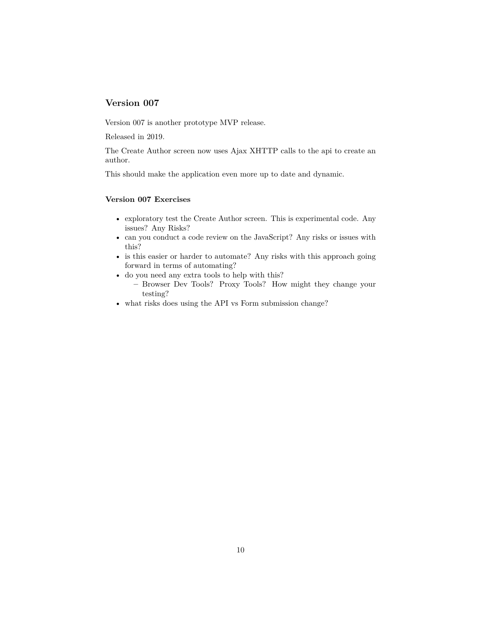<span id="page-9-0"></span>Version 007 is another prototype MVP release.

Released in 2019.

The Create Author screen now uses Ajax XHTTP calls to the api to create an author.

This should make the application even more up to date and dynamic.

#### <span id="page-9-1"></span>**Version 007 Exercises**

- exploratory test the Create Author screen. This is experimental code. Any issues? Any Risks?
- can you conduct a code review on the JavaScript? Any risks or issues with this?
- is this easier or harder to automate? Any risks with this approach going forward in terms of automating?
- do you need any extra tools to help with this?
	- **–** Browser Dev Tools? Proxy Tools? How might they change your testing?
- what risks does using the API vs Form submission change?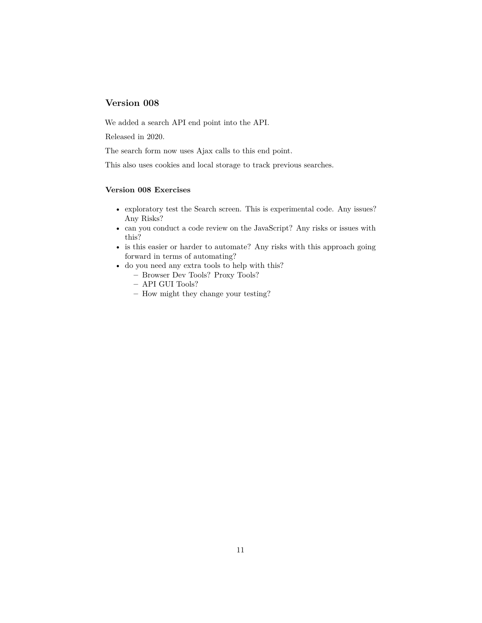<span id="page-10-0"></span>We added a search API end point into the API.

Released in 2020.

The search form now uses Ajax calls to this end point.

This also uses cookies and local storage to track previous searches.

#### <span id="page-10-1"></span>**Version 008 Exercises**

- exploratory test the Search screen. This is experimental code. Any issues? Any Risks?
- can you conduct a code review on the JavaScript? Any risks or issues with this?
- is this easier or harder to automate? Any risks with this approach going forward in terms of automating?
- do you need any extra tools to help with this?
	- **–** Browser Dev Tools? Proxy Tools?
	- **–** API GUI Tools?
	- **–** How might they change your testing?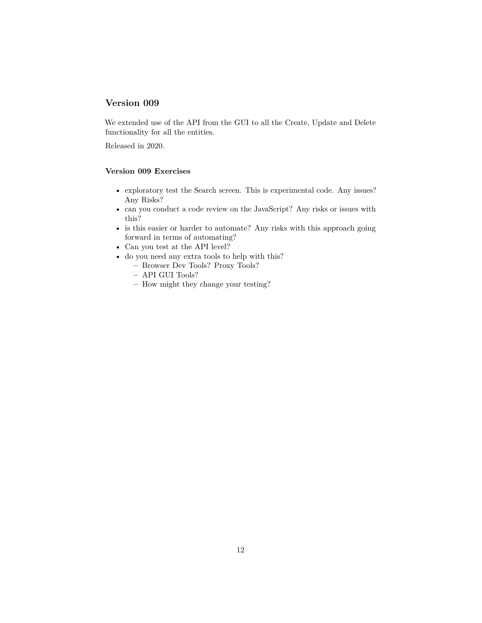<span id="page-11-0"></span>We extended use of the API from the GUI to all the Create, Update and Delete functionality for all the entities.

Released in 2020.

#### <span id="page-11-1"></span>**Version 009 Exercises**

- exploratory test the Search screen. This is experimental code. Any issues? Any Risks?
- can you conduct a code review on the JavaScript? Any risks or issues with this?
- is this easier or harder to automate? Any risks with this approach going forward in terms of automating?
- Can you test at the API level?
- do you need any extra tools to help with this?
	- **–** Browser Dev Tools? Proxy Tools?
	- **–** API GUI Tools?
	- **–** How might they change your testing?